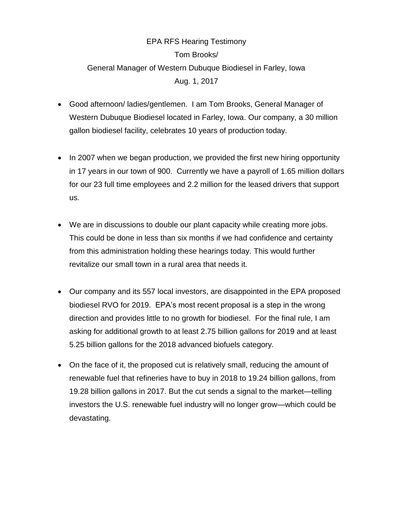## EPA RFS Hearing Testimony Tom Brooks/ General Manager of Western Dubuque Biodiesel in Farley, Iowa Aug. 1, 2017

- Good afternoon/ ladies/gentlemen. I am Tom Brooks, General Manager of Western Dubuque Biodiesel located in Farley, Iowa. Our company, a 30 million gallon biodiesel facility, celebrates 10 years of production today.
- In 2007 when we began production, we provided the first new hiring opportunity in 17 years in our town of 900. Currently we have a payroll of 1.65 million dollars for our 23 full time employees and 2.2 million for the leased drivers that support us.
- We are in discussions to double our plant capacity while creating more jobs. This could be done in less than six months if we had confidence and certainty from this administration holding these hearings today. This would further revitalize our small town in a rural area that needs it.
- Our company and its 557 local investors, are disappointed in the EPA proposed biodiesel RVO for 2019. EPA's most recent proposal is a step in the wrong direction and provides little to no growth for biodiesel. For the final rule, I am asking for additional growth to at least 2.75 billion gallons for 2019 and at least 5.25 billion gallons for the 2018 advanced biofuels category.
- On the face of it, the proposed cut is relatively small, reducing the amount of renewable fuel that refineries have to buy in 2018 to 19.24 billion gallons, from 19.28 billion gallons in 2017. But the cut sends a signal to the market—telling investors the U.S. renewable fuel industry will no longer grow—which could be devastating.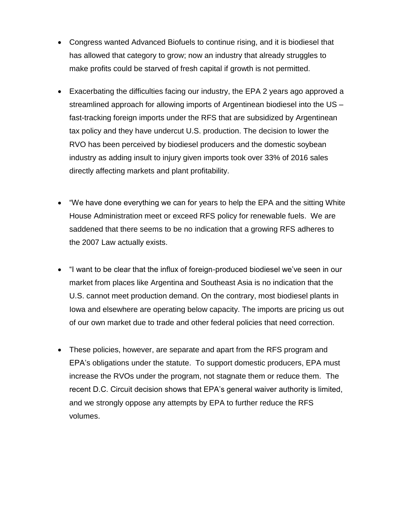- Congress wanted Advanced Biofuels to continue rising, and it is biodiesel that has allowed that category to grow; now an industry that already struggles to make profits could be starved of fresh capital if growth is not permitted.
- Exacerbating the difficulties facing our industry, the EPA 2 years ago approved a streamlined approach for allowing imports of Argentinean biodiesel into the US – fast-tracking foreign imports under the RFS that are subsidized by Argentinean tax policy and they have undercut U.S. production. The decision to lower the RVO has been perceived by biodiesel producers and the domestic soybean industry as adding insult to injury given imports took over 33% of 2016 sales directly affecting markets and plant profitability.
- "We have done everything we can for years to help the EPA and the sitting White House Administration meet or exceed RFS policy for renewable fuels. We are saddened that there seems to be no indication that a growing RFS adheres to the 2007 Law actually exists.
- "I want to be clear that the influx of foreign-produced biodiesel we've seen in our market from places like Argentina and Southeast Asia is no indication that the U.S. cannot meet production demand. On the contrary, most biodiesel plants in Iowa and elsewhere are operating below capacity. The imports are pricing us out of our own market due to trade and other federal policies that need correction.
- These policies, however, are separate and apart from the RFS program and EPA's obligations under the statute. To support domestic producers, EPA must increase the RVOs under the program, not stagnate them or reduce them. The recent D.C. Circuit decision shows that EPA's general waiver authority is limited, and we strongly oppose any attempts by EPA to further reduce the RFS volumes.